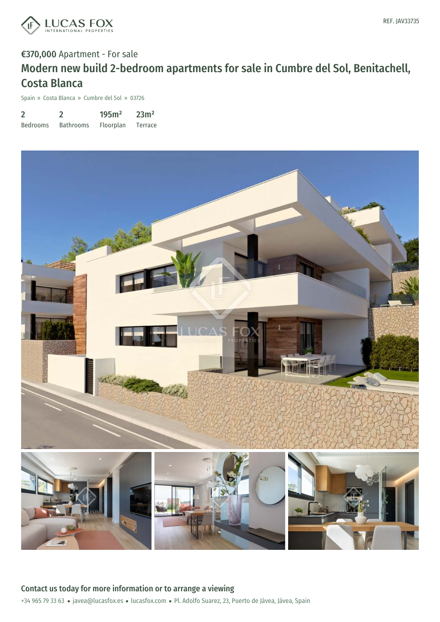

# €370,000 Apartment - For sale Modern new build 2-bedroom apartments for sale in Cumbre del Sol, Benitachell, Costa Blanca

Spain » Costa Blanca » Cumbre del Sol » 03726

| $\overline{2}$  |                  | 195m <sup>2</sup> | 23m <sup>2</sup> |
|-----------------|------------------|-------------------|------------------|
| <b>Bedrooms</b> | <b>Bathrooms</b> | Floorplan         | Terrace          |

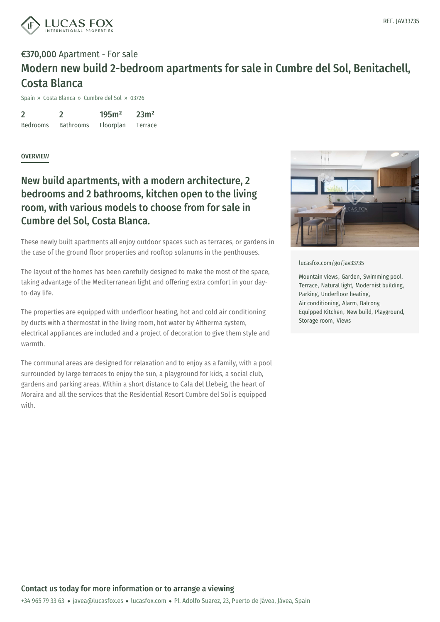

## €370,000 Apartment - For sale Modern new build 2-bedroom apartments for sale in Cumbre del Sol, Benitachell, Costa Blanca

Spain » Costa Blanca » Cumbre del Sol » 03726

2 Bedrooms 2 Bathrooms 195m² Floorplan 23m² Terrace

#### **OVERVIEW**

### New build apartments, with a modern architecture, 2 bedrooms and 2 bathrooms, kitchen open to the living room, with various models to choose from for sale in Cumbre del Sol, Costa Blanca.

These newly built apartments all enjoy outdoor spaces such as terraces, or gardens in the case of the ground floor properties and rooftop solanums in the penthouses.

The layout of the homes has been carefully designed to make the most of the space, taking advantage of the Mediterranean light and offering extra comfort in your dayto-day life.

The properties are equipped with underfloor heating, hot and cold air conditioning by ducts with a thermostat in the living room, hot water by Altherma system, electrical appliances are included and a project of decoration to give them style and warmth.

The communal areas are designed for relaxation and to enjoy as a family, with a pool surrounded by large terraces to enjoy the sun, a playground for kids, a social club, gardens and parking areas. Within a short distance to Cala del Llebeig, the heart of Moraira and all the services that the Residential Resort Cumbre del Sol is equipped with.



[lucasfox.com/go/jav33735](https://www.lucasfox.com/go/jav33735)

Mountain views, Garden, Swimming pool, Terrace, Natural light, Modernist building, Parking, Underfloor heating, Air conditioning, Alarm, Balcony, Equipped Kitchen, New build, Playground, Storage room, Views